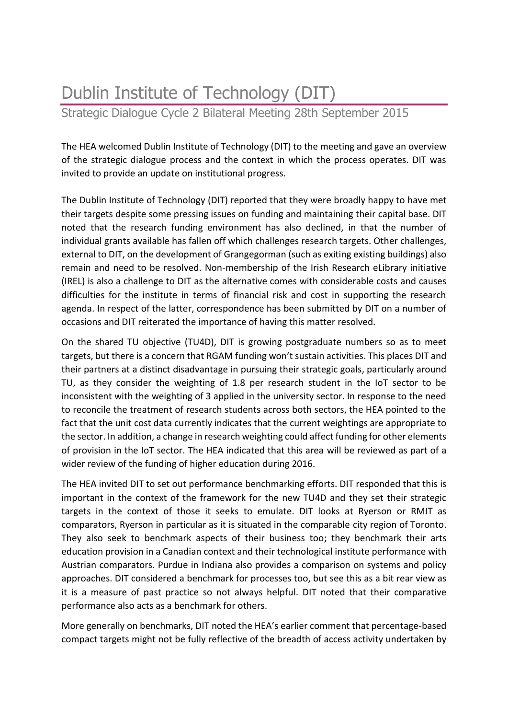# Dublin Institute of Technology (DIT)

Strategic Dialogue Cycle 2 Bilateral Meeting 28th September 2015

The HEA welcomed Dublin Institute of Technology (DIT) to the meeting and gave an overview of the strategic dialogue process and the context in which the process operates. DIT was invited to provide an update on institutional progress.

The Dublin Institute of Technology (DIT) reported that they were broadly happy to have met their targets despite some pressing issues on funding and maintaining their capital base. DIT noted that the research funding environment has also declined, in that the number of individual grants available has fallen off which challenges research targets. Other challenges, external to DIT, on the development of Grangegorman (such as exiting existing buildings) also remain and need to be resolved. Non-membership of the Irish Research eLibrary initiative (IREL) is also a challenge to DIT as the alternative comes with considerable costs and causes difficulties for the institute in terms of financial risk and cost in supporting the research agenda. In respect of the latter, correspondence has been submitted by DIT on a number of occasions and DIT reiterated the importance of having this matter resolved.

On the shared TU objective (TU4D), DIT is growing postgraduate numbers so as to meet targets, but there is a concern that RGAM funding won't sustain activities. This places DIT and their partners at a distinct disadvantage in pursuing their strategic goals, particularly around TU, as they consider the weighting of 1.8 per research student in the IoT sector to be inconsistent with the weighting of 3 applied in the university sector. In response to the need to reconcile the treatment of research students across both sectors, the HEA pointed to the fact that the unit cost data currently indicates that the current weightings are appropriate to the sector. In addition, a change in research weighting could affect funding for other elements of provision in the IoT sector. The HEA indicated that this area will be reviewed as part of a wider review of the funding of higher education during 2016.

The HEA invited DIT to set out performance benchmarking efforts. DIT responded that this is important in the context of the framework for the new TU4D and they set their strategic targets in the context of those it seeks to emulate. DIT looks at Ryerson or RMIT as comparators, Ryerson in particular as it is situated in the comparable city region of Toronto. They also seek to benchmark aspects of their business too; they benchmark their arts education provision in a Canadian context and their technological institute performance with Austrian comparators. Purdue in Indiana also provides a comparison on systems and policy approaches. DIT considered a benchmark for processes too, but see this as a bit rear view as it is a measure of past practice so not always helpful. DIT noted that their comparative performance also acts as a benchmark for others.

More generally on benchmarks, DIT noted the HEA's earlier comment that percentage-based compact targets might not be fully reflective of the breadth of access activity undertaken by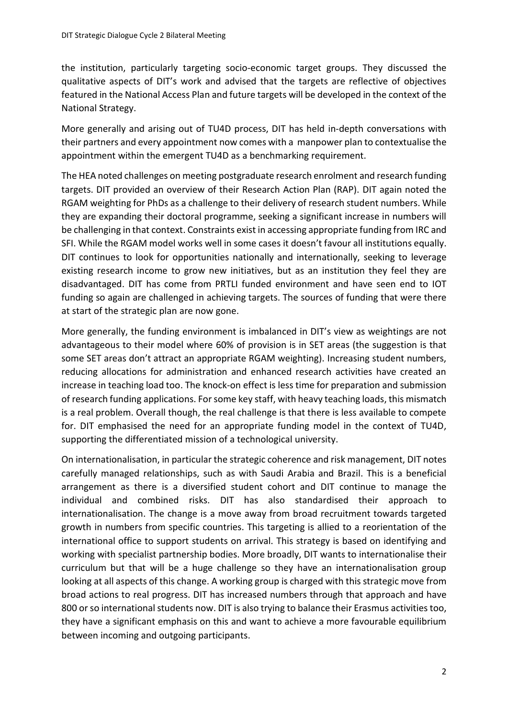the institution, particularly targeting socio-economic target groups. They discussed the qualitative aspects of DIT's work and advised that the targets are reflective of objectives featured in the National Access Plan and future targets will be developed in the context of the National Strategy.

More generally and arising out of TU4D process, DIT has held in-depth conversations with their partners and every appointment now comes with a manpower plan to contextualise the appointment within the emergent TU4D as a benchmarking requirement.

The HEA noted challenges on meeting postgraduate research enrolment and research funding targets. DIT provided an overview of their Research Action Plan (RAP). DIT again noted the RGAM weighting for PhDs as a challenge to their delivery of research student numbers. While they are expanding their doctoral programme, seeking a significant increase in numbers will be challenging in that context. Constraints exist in accessing appropriate funding from IRC and SFI. While the RGAM model works well in some cases it doesn't favour all institutions equally. DIT continues to look for opportunities nationally and internationally, seeking to leverage existing research income to grow new initiatives, but as an institution they feel they are disadvantaged. DIT has come from PRTLI funded environment and have seen end to IOT funding so again are challenged in achieving targets. The sources of funding that were there at start of the strategic plan are now gone.

More generally, the funding environment is imbalanced in DIT's view as weightings are not advantageous to their model where 60% of provision is in SET areas (the suggestion is that some SET areas don't attract an appropriate RGAM weighting). Increasing student numbers, reducing allocations for administration and enhanced research activities have created an increase in teaching load too. The knock-on effect is less time for preparation and submission of research funding applications. For some key staff, with heavy teaching loads, this mismatch is a real problem. Overall though, the real challenge is that there is less available to compete for. DIT emphasised the need for an appropriate funding model in the context of TU4D, supporting the differentiated mission of a technological university.

On internationalisation, in particular the strategic coherence and risk management, DIT notes carefully managed relationships, such as with Saudi Arabia and Brazil. This is a beneficial arrangement as there is a diversified student cohort and DIT continue to manage the individual and combined risks. DIT has also standardised their approach to internationalisation. The change is a move away from broad recruitment towards targeted growth in numbers from specific countries. This targeting is allied to a reorientation of the international office to support students on arrival. This strategy is based on identifying and working with specialist partnership bodies. More broadly, DIT wants to internationalise their curriculum but that will be a huge challenge so they have an internationalisation group looking at all aspects of this change. A working group is charged with this strategic move from broad actions to real progress. DIT has increased numbers through that approach and have 800 or so international students now. DIT is also trying to balance their Erasmus activities too, they have a significant emphasis on this and want to achieve a more favourable equilibrium between incoming and outgoing participants.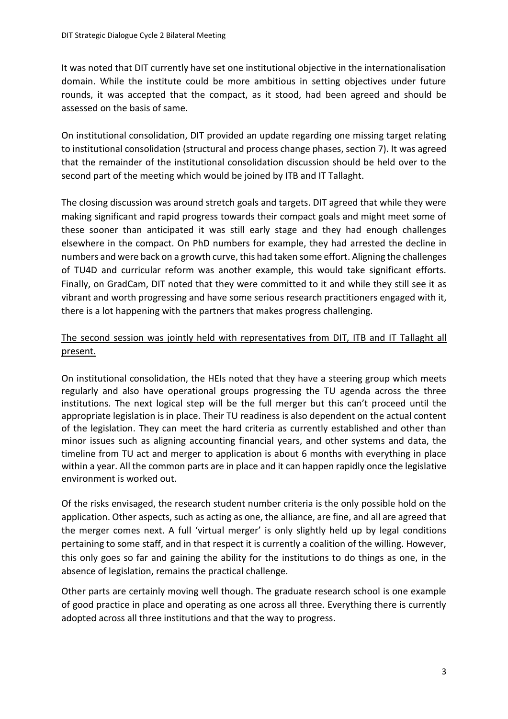It was noted that DIT currently have set one institutional objective in the internationalisation domain. While the institute could be more ambitious in setting objectives under future rounds, it was accepted that the compact, as it stood, had been agreed and should be assessed on the basis of same.

On institutional consolidation, DIT provided an update regarding one missing target relating to institutional consolidation (structural and process change phases, section 7). It was agreed that the remainder of the institutional consolidation discussion should be held over to the second part of the meeting which would be joined by ITB and IT Tallaght.

The closing discussion was around stretch goals and targets. DIT agreed that while they were making significant and rapid progress towards their compact goals and might meet some of these sooner than anticipated it was still early stage and they had enough challenges elsewhere in the compact. On PhD numbers for example, they had arrested the decline in numbers and were back on a growth curve, this had taken some effort. Aligning the challenges of TU4D and curricular reform was another example, this would take significant efforts. Finally, on GradCam, DIT noted that they were committed to it and while they still see it as vibrant and worth progressing and have some serious research practitioners engaged with it, there is a lot happening with the partners that makes progress challenging.

# The second session was jointly held with representatives from DIT, ITB and IT Tallaght all present.

On institutional consolidation, the HEIs noted that they have a steering group which meets regularly and also have operational groups progressing the TU agenda across the three institutions. The next logical step will be the full merger but this can't proceed until the appropriate legislation is in place. Their TU readiness is also dependent on the actual content of the legislation. They can meet the hard criteria as currently established and other than minor issues such as aligning accounting financial years, and other systems and data, the timeline from TU act and merger to application is about 6 months with everything in place within a year. All the common parts are in place and it can happen rapidly once the legislative environment is worked out.

Of the risks envisaged, the research student number criteria is the only possible hold on the application. Other aspects, such as acting as one, the alliance, are fine, and all are agreed that the merger comes next. A full 'virtual merger' is only slightly held up by legal conditions pertaining to some staff, and in that respect it is currently a coalition of the willing. However, this only goes so far and gaining the ability for the institutions to do things as one, in the absence of legislation, remains the practical challenge.

Other parts are certainly moving well though. The graduate research school is one example of good practice in place and operating as one across all three. Everything there is currently adopted across all three institutions and that the way to progress.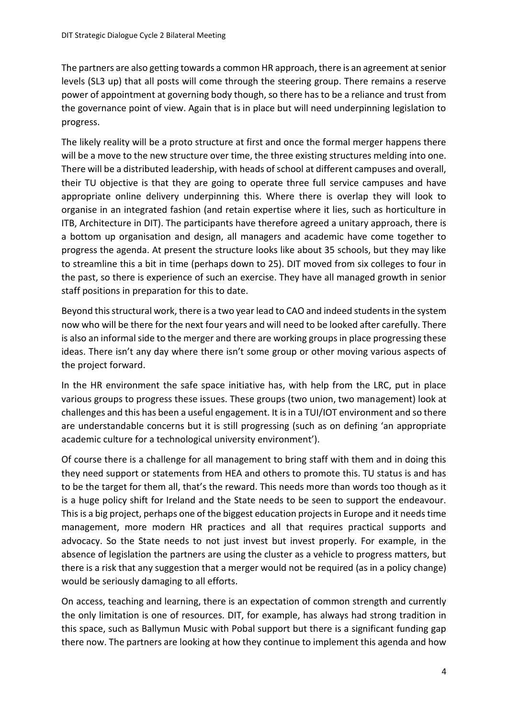The partners are also getting towards a common HR approach, there is an agreement at senior levels (SL3 up) that all posts will come through the steering group. There remains a reserve power of appointment at governing body though, so there has to be a reliance and trust from the governance point of view. Again that is in place but will need underpinning legislation to progress.

The likely reality will be a proto structure at first and once the formal merger happens there will be a move to the new structure over time, the three existing structures melding into one. There will be a distributed leadership, with heads of school at different campuses and overall, their TU objective is that they are going to operate three full service campuses and have appropriate online delivery underpinning this. Where there is overlap they will look to organise in an integrated fashion (and retain expertise where it lies, such as horticulture in ITB, Architecture in DIT). The participants have therefore agreed a unitary approach, there is a bottom up organisation and design, all managers and academic have come together to progress the agenda. At present the structure looks like about 35 schools, but they may like to streamline this a bit in time (perhaps down to 25). DIT moved from six colleges to four in the past, so there is experience of such an exercise. They have all managed growth in senior staff positions in preparation for this to date.

Beyond this structural work, there is a two year lead to CAO and indeed students in the system now who will be there for the next four years and will need to be looked after carefully. There is also an informal side to the merger and there are working groups in place progressing these ideas. There isn't any day where there isn't some group or other moving various aspects of the project forward.

In the HR environment the safe space initiative has, with help from the LRC, put in place various groups to progress these issues. These groups (two union, two management) look at challenges and this has been a useful engagement. It is in a TUI/IOT environment and so there are understandable concerns but it is still progressing (such as on defining 'an appropriate academic culture for a technological university environment').

Of course there is a challenge for all management to bring staff with them and in doing this they need support or statements from HEA and others to promote this. TU status is and has to be the target for them all, that's the reward. This needs more than words too though as it is a huge policy shift for Ireland and the State needs to be seen to support the endeavour. This is a big project, perhaps one of the biggest education projects in Europe and it needs time management, more modern HR practices and all that requires practical supports and advocacy. So the State needs to not just invest but invest properly. For example, in the absence of legislation the partners are using the cluster as a vehicle to progress matters, but there is a risk that any suggestion that a merger would not be required (as in a policy change) would be seriously damaging to all efforts.

On access, teaching and learning, there is an expectation of common strength and currently the only limitation is one of resources. DIT, for example, has always had strong tradition in this space, such as Ballymun Music with Pobal support but there is a significant funding gap there now. The partners are looking at how they continue to implement this agenda and how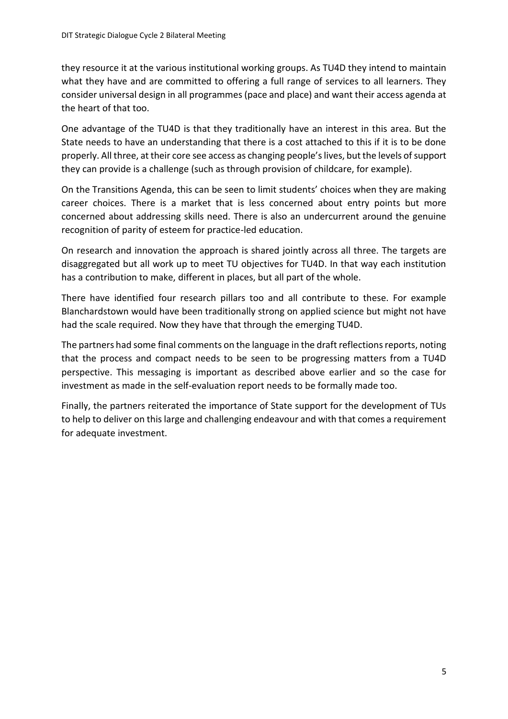they resource it at the various institutional working groups. As TU4D they intend to maintain what they have and are committed to offering a full range of services to all learners. They consider universal design in all programmes (pace and place) and want their access agenda at the heart of that too.

One advantage of the TU4D is that they traditionally have an interest in this area. But the State needs to have an understanding that there is a cost attached to this if it is to be done properly. All three, at their core see access as changing people's lives, but the levels of support they can provide is a challenge (such as through provision of childcare, for example).

On the Transitions Agenda, this can be seen to limit students' choices when they are making career choices. There is a market that is less concerned about entry points but more concerned about addressing skills need. There is also an undercurrent around the genuine recognition of parity of esteem for practice-led education.

On research and innovation the approach is shared jointly across all three. The targets are disaggregated but all work up to meet TU objectives for TU4D. In that way each institution has a contribution to make, different in places, but all part of the whole.

There have identified four research pillars too and all contribute to these. For example Blanchardstown would have been traditionally strong on applied science but might not have had the scale required. Now they have that through the emerging TU4D.

The partners had some final comments on the language in the draft reflections reports, noting that the process and compact needs to be seen to be progressing matters from a TU4D perspective. This messaging is important as described above earlier and so the case for investment as made in the self-evaluation report needs to be formally made too.

Finally, the partners reiterated the importance of State support for the development of TUs to help to deliver on this large and challenging endeavour and with that comes a requirement for adequate investment.